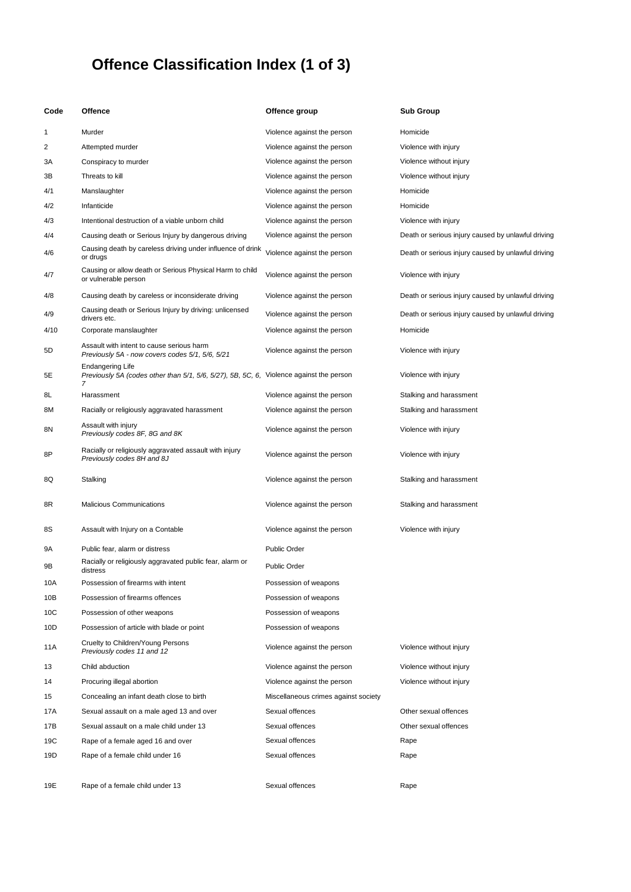## **Offence Classification Index (1 of 3)**

| Code | <b>Offence</b>                                                                                                          | Offence group                        | <b>Sub Group</b>                                   |
|------|-------------------------------------------------------------------------------------------------------------------------|--------------------------------------|----------------------------------------------------|
| 1    | Murder                                                                                                                  | Violence against the person          | Homicide                                           |
| 2    | Attempted murder                                                                                                        | Violence against the person          | Violence with injury                               |
| ЗΑ   | Conspiracy to murder                                                                                                    | Violence against the person          | Violence without injury                            |
| зв   | Threats to kill                                                                                                         | Violence against the person          | Violence without injury                            |
| 4/1  | Manslaughter                                                                                                            | Violence against the person          | Homicide                                           |
| 4/2  | Infanticide                                                                                                             | Violence against the person          | Homicide                                           |
| 4/3  | Intentional destruction of a viable unborn child                                                                        | Violence against the person          | Violence with injury                               |
| 4/4  | Causing death or Serious Injury by dangerous driving                                                                    | Violence against the person          | Death or serious injury caused by unlawful driving |
| 4/6  | Causing death by careless driving under influence of drink<br>or drugs                                                  | Violence against the person          | Death or serious injury caused by unlawful driving |
| 4/7  | Causing or allow death or Serious Physical Harm to child<br>or vulnerable person                                        | Violence against the person          | Violence with injury                               |
| 4/8  | Causing death by careless or inconsiderate driving                                                                      | Violence against the person          | Death or serious injury caused by unlawful driving |
| 4/9  | Causing death or Serious Injury by driving: unlicensed<br>drivers etc.                                                  | Violence against the person          | Death or serious injury caused by unlawful driving |
| 4/10 | Corporate manslaughter                                                                                                  | Violence against the person          | Homicide                                           |
| 5D   | Assault with intent to cause serious harm<br>Previously 5A - now covers codes 5/1, 5/6, 5/21                            | Violence against the person          | Violence with injury                               |
| 5Е   | <b>Endangering Life</b><br>Previously 5A (codes other than 5/1, 5/6, 5/27), 5B, 5C, 6, Violence against the person<br>7 |                                      | Violence with injury                               |
| 8L   | Harassment                                                                                                              | Violence against the person          | Stalking and harassment                            |
| 8М   | Racially or religiously aggravated harassment                                                                           | Violence against the person          | Stalking and harassment                            |
| 8Ν   | Assault with injury<br>Previously codes 8F, 8G and 8K                                                                   | Violence against the person          | Violence with injury                               |
| 8P   | Racially or religiously aggravated assault with injury<br>Previously codes 8H and 8J                                    | Violence against the person          | Violence with injury                               |
| 8Q   | Stalking                                                                                                                | Violence against the person          | Stalking and harassment                            |
| 8R   | <b>Malicious Communications</b>                                                                                         | Violence against the person          | Stalking and harassment                            |
| 8S   | Assault with Injury on a Contable                                                                                       | Violence against the person          | Violence with injury                               |
| 9Α   | Public fear, alarm or distress                                                                                          | <b>Public Order</b>                  |                                                    |
| 9Β   | Racially or religiously aggravated public fear, alarm or<br>distress                                                    | <b>Public Order</b>                  |                                                    |
| 10A  | Possession of firearms with intent                                                                                      | Possession of weapons                |                                                    |
| 10B  | Possession of firearms offences                                                                                         | Possession of weapons                |                                                    |
| 10C  | Possession of other weapons                                                                                             | Possession of weapons                |                                                    |
| 10D  | Possession of article with blade or point                                                                               | Possession of weapons                |                                                    |
| 11A  | Cruelty to Children/Young Persons<br>Previously codes 11 and 12                                                         | Violence against the person          | Violence without injury                            |
| 13   | Child abduction                                                                                                         | Violence against the person          | Violence without injury                            |
| 14   | Procuring illegal abortion                                                                                              | Violence against the person          | Violence without injury                            |
| 15   | Concealing an infant death close to birth                                                                               | Miscellaneous crimes against society |                                                    |
| 17A  | Sexual assault on a male aged 13 and over                                                                               | Sexual offences                      | Other sexual offences                              |
| 17B  | Sexual assault on a male child under 13                                                                                 | Sexual offences                      | Other sexual offences                              |
| 19C  | Rape of a female aged 16 and over                                                                                       | Sexual offences                      | Rape                                               |
| 19D  | Rape of a female child under 16                                                                                         | Sexual offences                      | Rape                                               |
| 19E  | Rape of a female child under 13                                                                                         | Sexual offences                      | Rape                                               |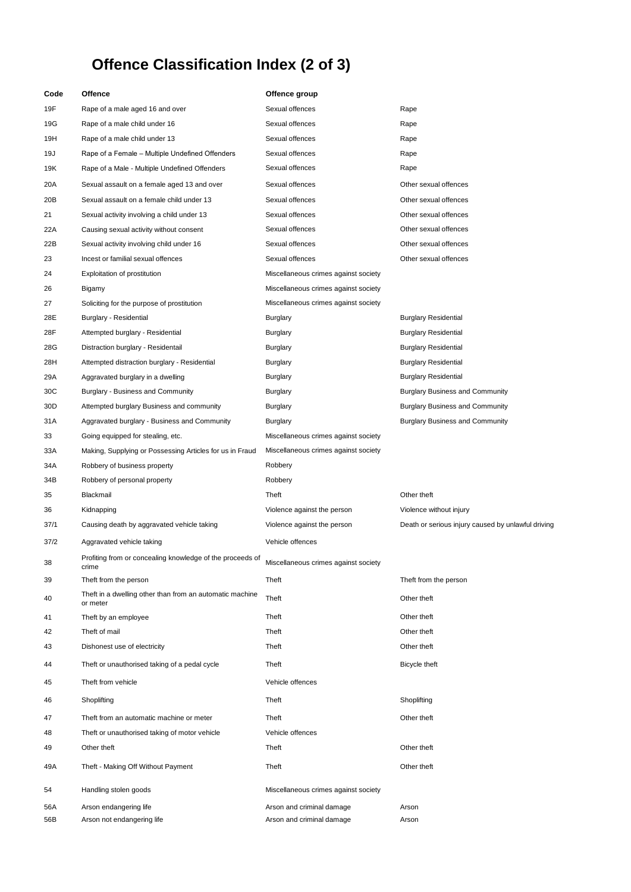## **Offence Classification Index (2 of 3)**

| Code | Offence                                                              | Offence group                        |                                                    |
|------|----------------------------------------------------------------------|--------------------------------------|----------------------------------------------------|
| 19F  | Rape of a male aged 16 and over                                      | Sexual offences                      | Rape                                               |
| 19G  | Rape of a male child under 16                                        | Sexual offences                      | Rape                                               |
| 19H  | Rape of a male child under 13                                        | Sexual offences                      | Rape                                               |
| 19J  | Rape of a Female - Multiple Undefined Offenders                      | Sexual offences                      | Rape                                               |
| 19K  | Rape of a Male - Multiple Undefined Offenders                        | Sexual offences                      | Rape                                               |
| 20A  | Sexual assault on a female aged 13 and over                          | Sexual offences                      | Other sexual offences                              |
| 20B  | Sexual assault on a female child under 13                            | Sexual offences                      | Other sexual offences                              |
| 21   | Sexual activity involving a child under 13                           | Sexual offences                      | Other sexual offences                              |
| 22A  | Causing sexual activity without consent                              | Sexual offences                      | Other sexual offences                              |
| 22B  | Sexual activity involving child under 16                             | Sexual offences                      | Other sexual offences                              |
| 23   | Incest or familial sexual offences                                   | Sexual offences                      | Other sexual offences                              |
| 24   | Exploitation of prostitution                                         | Miscellaneous crimes against society |                                                    |
| 26   | Bigamy                                                               | Miscellaneous crimes against society |                                                    |
| 27   | Soliciting for the purpose of prostitution                           | Miscellaneous crimes against society |                                                    |
| 28E  | Burglary - Residential                                               | Burglary                             | <b>Burglary Residential</b>                        |
| 28F  | Attempted burglary - Residential                                     | Burglary                             | <b>Burglary Residential</b>                        |
| 28G  | Distraction burglary - Residentail                                   | Burglary                             | <b>Burglary Residential</b>                        |
| 28H  | Attempted distraction burglary - Residential                         | Burglary                             | <b>Burglary Residential</b>                        |
| 29A  | Aggravated burglary in a dwelling                                    | Burglary                             | <b>Burglary Residential</b>                        |
| 30C  | Burglary - Business and Community                                    | Burglary                             | <b>Burglary Business and Community</b>             |
| 30D  | Attempted burglary Business and community                            | Burglary                             | <b>Burglary Business and Community</b>             |
| 31 A | Aggravated burglary - Business and Community                         | Burglary                             | <b>Burglary Business and Community</b>             |
| 33   | Going equipped for stealing, etc.                                    | Miscellaneous crimes against society |                                                    |
| 33A  | Making, Supplying or Possessing Articles for us in Fraud             | Miscellaneous crimes against society |                                                    |
| 34A  | Robbery of business property                                         | Robbery                              |                                                    |
| 34B  | Robbery of personal property                                         | Robbery                              |                                                    |
| 35   | Blackmail                                                            | Theft                                | Other theft                                        |
| 36   | Kidnapping                                                           | Violence against the person          | Violence without injury                            |
| 37/1 | Causing death by aggravated vehicle taking                           | Violence against the person          | Death or serious injury caused by unlawful driving |
| 37/2 | Aggravated vehicle taking                                            | Vehicle offences                     |                                                    |
| 38   | Profiting from or concealing knowledge of the proceeds of<br>crime   | Miscellaneous crimes against society |                                                    |
| 39   | Theft from the person                                                | Theft                                | Theft from the person                              |
| 40   | Theft in a dwelling other than from an automatic machine<br>or meter | Theft                                | Other theft                                        |
| 41   | Theft by an employee                                                 | Theft                                | Other theft                                        |
| 42   | Theft of mail                                                        | Theft                                | Other theft                                        |
| 43   | Dishonest use of electricity                                         | Theft                                | Other theft                                        |
| 44   | Theft or unauthorised taking of a pedal cycle                        | Theft                                | Bicycle theft                                      |
| 45   | Theft from vehicle                                                   | Vehicle offences                     |                                                    |
| 46   | Shoplifting                                                          | Theft                                | Shoplifting                                        |
| 47   | Theft from an automatic machine or meter                             | Theft                                | Other theft                                        |
| 48   | Theft or unauthorised taking of motor vehicle                        | Vehicle offences                     |                                                    |
| 49   | Other theft                                                          | Theft                                | Other theft                                        |
| 49A  | Theft - Making Off Without Payment                                   | Theft                                | Other theft                                        |
| 54   | Handling stolen goods                                                | Miscellaneous crimes against society |                                                    |
| 56A  | Arson endangering life                                               | Arson and criminal damage            | Arson                                              |
| 56B  | Arson not endangering life                                           | Arson and criminal damage            | Arson                                              |